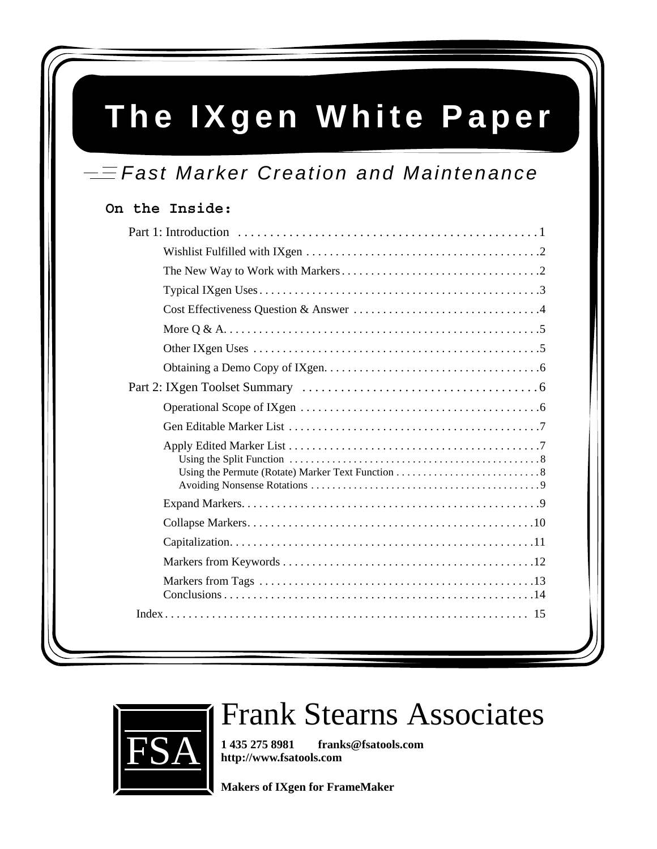# **The IXgen White Paper**

## $=$  Fast Marker Creation and Maintenance

## **On the Inside:**



# Frank Stearns Associates

**1 435 275 8981 franks@fsatools.com http://www.fsatools.com**

**Makers of IXgen for FrameMaker**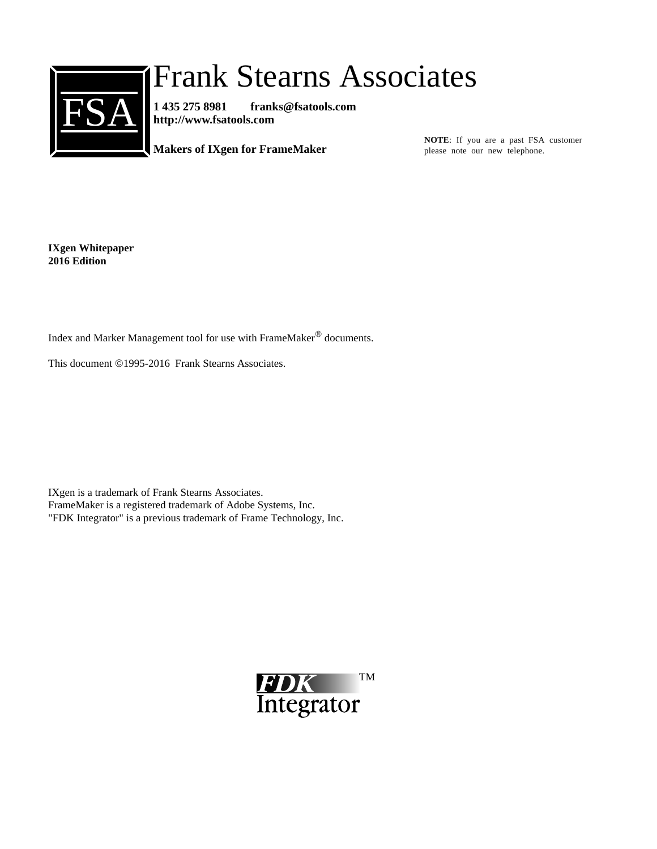

# Frank Stearns Associates

**1 435 275 8981 franks@fsatools.com http://www.fsatools.com**

**Makers of IXgen for FrameMaker**

**NOTE**: If you are a past FSA customer please note our new telephone.

**IXgen Whitepaper 2016 Edition** 

Index and Marker Management tool for use with FrameMaker® documents.

This document ©1995-2016 Frank Stearns Associates.

IXgen is a trademark of Frank Stearns Associates. FrameMaker is a registered trademark of Adobe Systems, Inc. "FDK Integrator" is a previous trademark of Frame Technology, Inc.

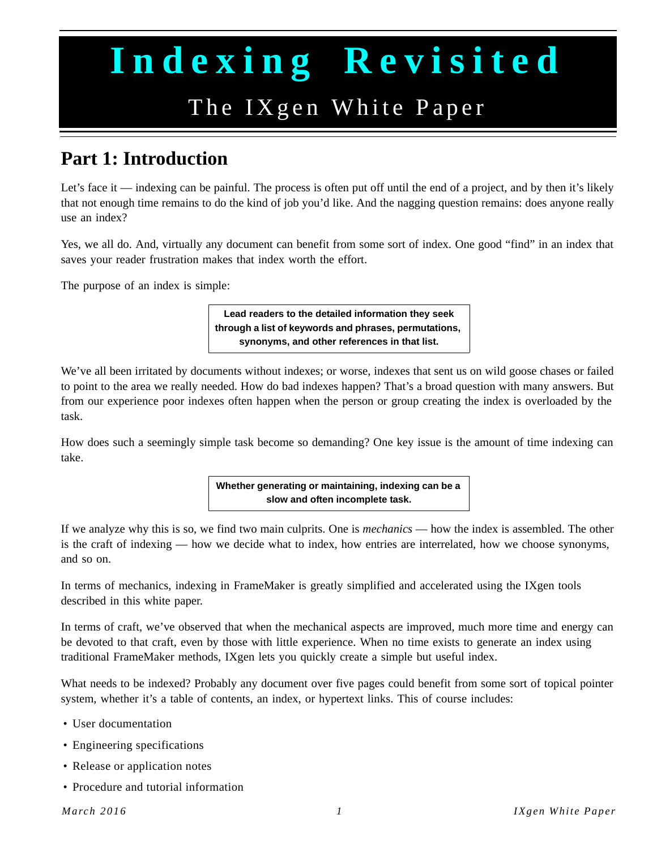# **Indexing Revisited**

# The IXgen White Paper

## <span id="page-2-1"></span><span id="page-2-0"></span>**Part 1: Introduction**

Let's face it — indexing can be painful. The process is often put off until the end of a project, and by then it's likely that not enough time remains to do the kind of job you'd like. And the nagging question remains: does anyone really use an index?

Yes, we all do. And, virtually any document can benefit from some sort of index. One good "find" in an index that saves your reader frustration makes that index worth the effort.

The purpose of an index is simple:

**Lead readers to the detailed information they seek through a list of keywords and phrases, permutations, synonyms, and other references in that list.**

We've all been irritated by documents without indexes; or worse, indexes that sent us on wild goose chases or failed to point to the area we really needed. How do bad indexes happen? That's a broad question with many answers. But from our experience poor indexes often happen when the person or group creating the index is overloaded by the task.

How does such a seemingly simple task become so demanding? One key issue is the amount of time indexing can take.

> **Whether generating or maintaining, indexing can be a slow and often incomplete task.**

If we analyze why this is so, we find two main culprits. One is *mechanics* — how the index is assembled. The other is the craft of indexing — how we decide what to index, how entries are interrelated, how we choose synonyms, and so on.

In terms of mechanics, indexing in FrameMaker is greatly simplified and accelerated using the IXgen tools described in this white paper.

In terms of craft, we've observed that when the mechanical aspects are improved, much more time and energy can be devoted to that craft, even by those with little experience. When no time exists to generate an index using traditional FrameMaker methods, IXgen lets you quickly create a simple but useful index.

What needs to be indexed? Probably any document over five pages could benefit from some sort of topical pointer system, whether it's a table of contents, an index, or hypertext links. This of course includes:

- User documentation
- Engineering specifications
- Release or application notes
- Procedure and tutorial information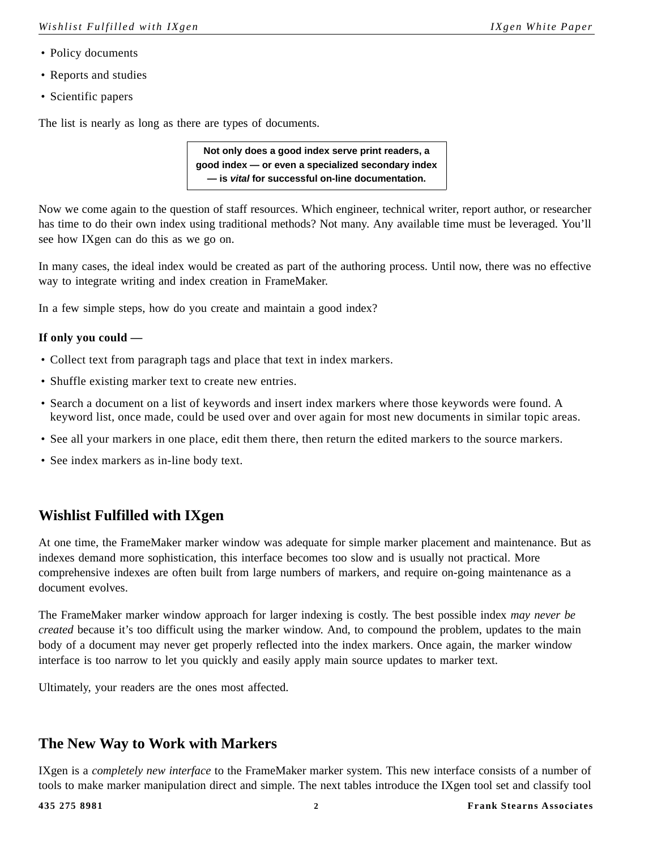- Policy documents
- Reports and studies
- Scientific papers

The list is nearly as long as there are types of documents.

**Not only does a good index serve print readers, a good index — or even a specialized secondary index — is** *vital* **for successful on-line documentation.**

Now we come again to the question of staff resources. Which engineer, technical writer, report author, or researcher has time to do their own index using traditional methods? Not many. Any available time must be leveraged. You'll see how IXgen can do this as we go on.

In many cases, the ideal index would be created as part of the authoring process. Until now, there was no effective way to integrate writing and index creation in FrameMaker.

In a few simple steps, how do you create and maintain a good index?

#### **If only you could —**

- Collect text from paragraph tags and place that text in index markers.
- Shuffle existing marker text to create new entries.
- Search a document on a list of keywords and insert index markers where those keywords were found. A keyword list, once made, could be used over and over again for most new documents in similar topic areas.
- See all your markers in one place, edit them there, then return the edited markers to the source markers.
- See index markers as in-line body text.

## <span id="page-3-0"></span>**Wishlist Fulfilled with IXgen**

At one time, the FrameMaker marker window was adequate for simple marker placement and maintenance. But as indexes demand more sophistication, this interface becomes too slow and is usually not practical. More comprehensive indexes are often built from large numbers of markers, and require on-going maintenance as a document evolves.

The FrameMaker marker window approach for larger indexing is costly. The best possible index *may never be created* because it's too difficult using the marker window. And, to compound the problem, updates to the main body of a document may never get properly reflected into the index markers. Once again, the marker window interface is too narrow to let you quickly and easily apply main source updates to marker text.

Ultimately, your readers are the ones most affected.

## <span id="page-3-1"></span>**The New Way to Work with Markers**

IXgen is a *completely new interface* to the FrameMaker marker system. This new interface consists of a number of tools to make marker manipulation direct and simple. The next tables introduce the IXgen tool set and classify tool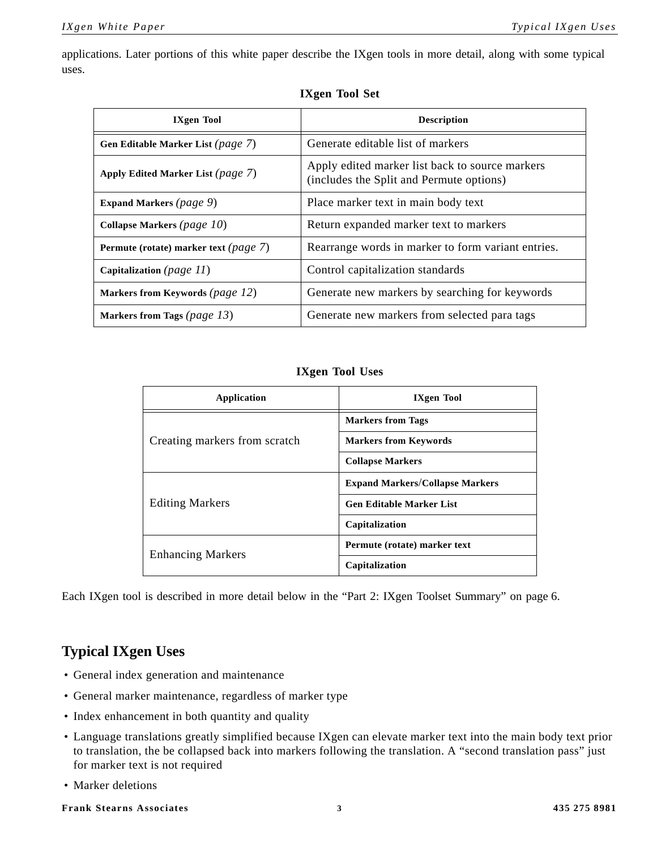applications. Later portions of this white paper describe the IXgen tools in more detail, along with some typical uses.

| <b>IXgen Tool</b>                        | <b>Description</b>                                                                          |
|------------------------------------------|---------------------------------------------------------------------------------------------|
| Gen Editable Marker List (page 7)        | Generate editable list of markers                                                           |
| Apply Edited Marker List (page 7)        | Apply edited marker list back to source markers<br>(includes the Split and Permute options) |
| <b>Expand Markers</b> (page 9)           | Place marker text in main body text                                                         |
| Collapse Markers (page 10)               | Return expanded marker text to markers                                                      |
| Permute (rotate) marker text (page $7$ ) | Rearrange words in marker to form variant entries.                                          |
| Capitalization (page $11$ )              | Control capitalization standards                                                            |
| Markers from Keywords (page 12)          | Generate new markers by searching for keywords                                              |
| Markers from Tags (page 13)              | Generate new markers from selected para tags                                                |

#### **IXgen Tool Set**

## **IXgen Tool Uses**

| Application                   | <b>IXgen Tool</b>                      |
|-------------------------------|----------------------------------------|
| Creating markers from scratch | <b>Markers from Tags</b>               |
|                               | <b>Markers from Keywords</b>           |
|                               | <b>Collapse Markers</b>                |
| <b>Editing Markers</b>        | <b>Expand Markers/Collapse Markers</b> |
|                               | <b>Gen Editable Marker List</b>        |
|                               | Capitalization                         |
| <b>Enhancing Markers</b>      | Permute (rotate) marker text           |
|                               | Capitalization                         |

Each IXgen tool is described in more detail below in the ["Part 2: IXgen Toolset Summary" on page 6](#page-7-1).

## <span id="page-4-1"></span><span id="page-4-0"></span>**Typical IXgen Uses**

- General index generation and maintenance
- General marker maintenance, regardless of marker type
- Index enhancement in both quantity and quality
- Language translations greatly simplified because IXgen can elevate marker text into the main body text prior to translation, the be collapsed back into markers following the translation. A "second translation pass" just for marker text is not required
- Marker deletions

#### **Frank Stearns Associates 3 435 275 8981**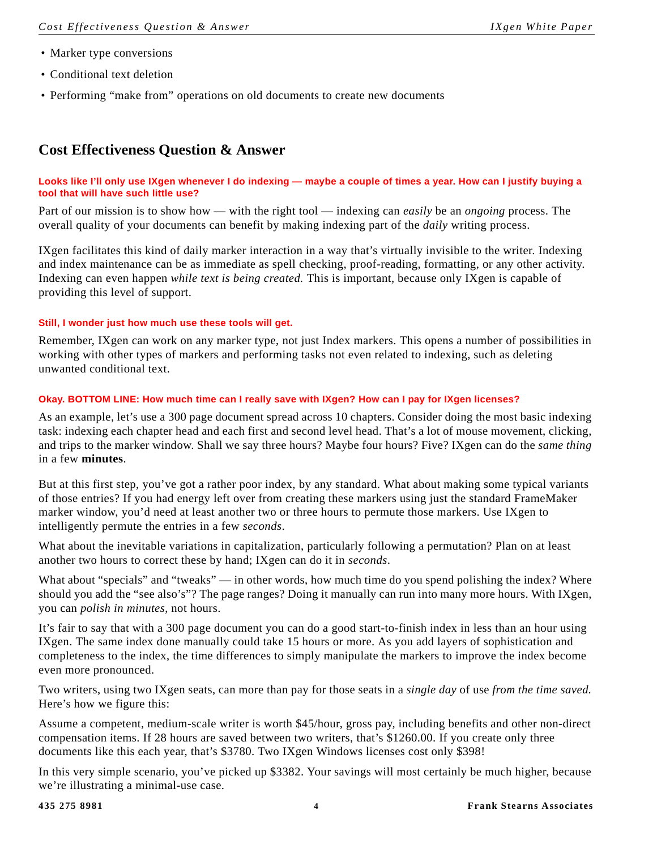- Marker type conversions
- Conditional text deletion
- Performing "make from" operations on old documents to create new documents

## <span id="page-5-1"></span><span id="page-5-0"></span>**Cost Effectiveness Question & Answer**

#### **Looks like I'll only use IXgen whenever I do indexing — maybe a couple of times a year. How can I justify buying a tool that will have such little use?**

Part of our mission is to show how — with the right tool — indexing can *easily* be an *ongoing* process. The overall quality of your documents can benefit by making indexing part of the *daily* writing process.

IXgen facilitates this kind of daily marker interaction in a way that's virtually invisible to the writer. Indexing and index maintenance can be as immediate as spell checking, proof-reading, formatting, or any other activity. Indexing can even happen *while text is being created.* This is important, because only IXgen is capable of providing this level of support.

#### **Still, I wonder just how much use these tools will get.**

Remember, IXgen can work on any marker type, not just Index markers. This opens a number of possibilities in working with other types of markers and performing tasks not even related to indexing, such as deleting unwanted conditional text.

#### **Okay. BOTTOM LINE: How much time can I really save with IXgen? How can I pay for IXgen licenses?**

As an example, let's use a 300 page document spread across 10 chapters. Consider doing the most basic indexing task: indexing each chapter head and each first and second level head. That's a lot of mouse movement, clicking, and trips to the marker window. Shall we say three hours? Maybe four hours? Five? IXgen can do the *same thing*  in a few **minutes**.

But at this first step, you've got a rather poor index, by any standard. What about making some typical variants of those entries? If you had energy left over from creating these markers using just the standard FrameMaker marker window, you'd need at least another two or three hours to permute those markers. Use IXgen to intelligently permute the entries in a few *seconds*.

What about the inevitable variations in capitalization, particularly following a permutation? Plan on at least another two hours to correct these by hand; IXgen can do it in *seconds*.

What about "specials" and "tweaks" — in other words, how much time do you spend polishing the index? Where should you add the "see also's"? The page ranges? Doing it manually can run into many more hours. With IXgen, you can *polish in minutes*, not hours.

It's fair to say that with a 300 page document you can do a good start-to-finish index in less than an hour using IXgen. The same index done manually could take 15 hours or more. As you add layers of sophistication and completeness to the index, the time differences to simply manipulate the markers to improve the index become even more pronounced.

Two writers, using two IXgen seats, can more than pay for those seats in a *single day* of use *from the time saved.* Here's how we figure this:

Assume a competent, medium-scale writer is worth \$45/hour, gross pay, including benefits and other non-direct compensation items. If 28 hours are saved between two writers, that's \$1260.00. If you create only three documents like this each year, that's \$3780. Two IXgen Windows licenses cost only \$398!

In this very simple scenario, you've picked up \$3382. Your savings will most certainly be much higher, because we're illustrating a minimal-use case.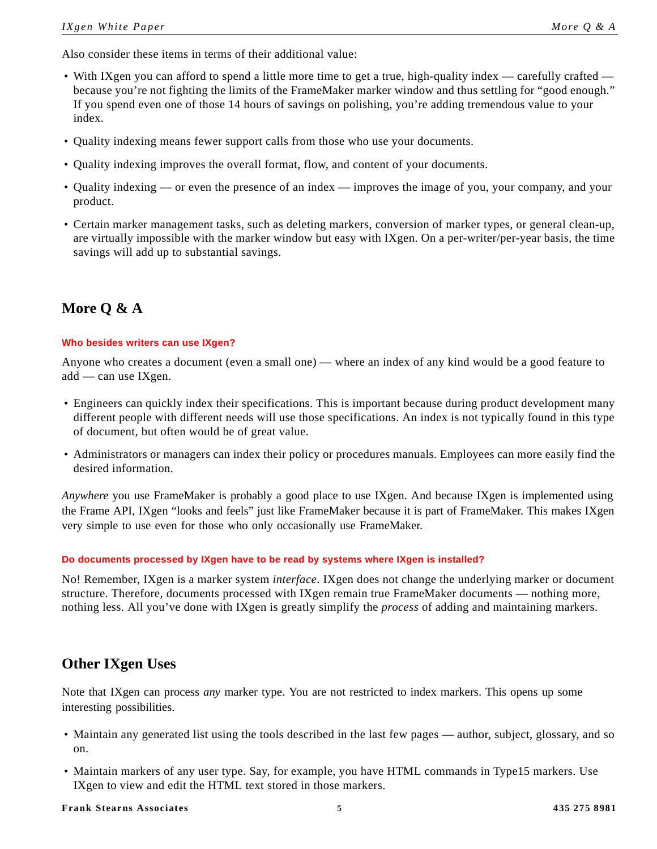Also consider these items in terms of their additional value:

- With IXgen you can afford to spend a little more time to get a true, high-quality index carefully crafted because you're not fighting the limits of the FrameMaker marker window and thus settling for "good enough." If you spend even one of those 14 hours of savings on polishing, you're adding tremendous value to your index.
- Quality indexing means fewer support calls from those who use your documents.
- Quality indexing improves the overall format, flow, and content of your documents.
- Quality indexing or even the presence of an index improves the image of you, your company, and your product.
- Certain marker management tasks, such as deleting markers, conversion of marker types, or general clean-up, are virtually impossible with the marker window but easy with IXgen. On a per-writer/per-year basis, the time savings will add up to substantial savings.

## <span id="page-6-0"></span>**More Q & A**

#### **Who besides writers can use IXgen?**

Anyone who creates a document (even a small one) — where an index of any kind would be a good feature to add — can use IXgen.

- Engineers can quickly index their specifications. This is important because during product development many different people with different needs will use those specifications. An index is not typically found in this type of document, but often would be of great value.
- Administrators or managers can index their policy or procedures manuals. Employees can more easily find the desired information.

*Anywhere* you use FrameMaker is probably a good place to use IXgen. And because IXgen is implemented using the Frame API, IXgen "looks and feels" just like FrameMaker because it is part of FrameMaker. This makes IXgen very simple to use even for those who only occasionally use FrameMaker.

#### **Do documents processed by IXgen have to be read by systems where IXgen is installed?**

No! Remember, IXgen is a marker system *interface*. IXgen does not change the underlying marker or document structure. Therefore, documents processed with IXgen remain true FrameMaker documents — nothing more, nothing less. All you've done with IXgen is greatly simplify the *process* of adding and maintaining markers.

## <span id="page-6-2"></span><span id="page-6-1"></span>**Other IXgen Uses**

Note that IXgen can process *any* marker type. You are not restricted to index markers. This opens up some interesting possibilities.

- Maintain any generated list using the tools described in the last few pages author, subject, glossary, and so on.
- Maintain markers of any user type. Say, for example, you have HTML commands in Type15 markers. Use IXgen to view and edit the HTML text stored in those markers.

#### **Frank Stearns Associates 5 435 275 8981**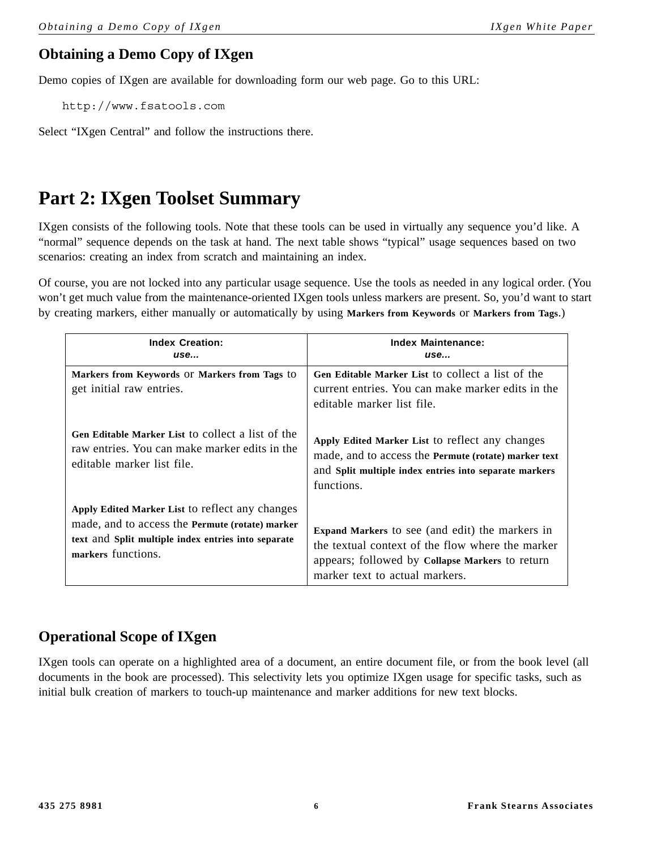## <span id="page-7-3"></span><span id="page-7-0"></span>**Obtaining a Demo Copy of IXgen**

Demo copies of IXgen are available for downloading form our web page. Go to this URL:

http://www.fsatools.com

Select "IXgen Central" and follow the instructions there.

## <span id="page-7-4"></span><span id="page-7-1"></span>**Part 2: IXgen Toolset Summary**

IXgen consists of the following tools. Note that these tools can be used in virtually any sequence you'd like. A "normal" sequence depends on the task at hand. The next table shows "typical" usage sequences based on two scenarios: creating an index from scratch and maintaining an index.

Of course, you are not locked into any particular usage sequence. Use the tools as needed in any logical order. (You won't get much value from the maintenance-oriented IXgen tools unless markers are present. So, you'd want to start by creating markers, either manually or automatically by using **Markers from Keywords** or **Markers from Tags**.)

| <b>Index Creation:</b>                                                                                                           | <b>Index Maintenance:</b>                                                                                                                                                       |
|----------------------------------------------------------------------------------------------------------------------------------|---------------------------------------------------------------------------------------------------------------------------------------------------------------------------------|
| <i>use</i>                                                                                                                       | use                                                                                                                                                                             |
| Markers from Keywords Or Markers from Tags to<br>get initial raw entries.                                                        | Gen Editable Marker List to collect a list of the<br>current entries. You can make marker edits in the<br>editable marker list file.                                            |
| Gen Editable Marker List to collect a list of the<br>raw entries. You can make marker edits in the<br>editable marker list file. | Apply Edited Marker List to reflect any changes<br>made, and to access the Permute (rotate) marker text<br>and Split multiple index entries into separate markers<br>functions. |
| Apply Edited Marker List to reflect any changes                                                                                  | <b>Expand Markers</b> to see (and edit) the markers in                                                                                                                          |
| made, and to access the Permute (rotate) marker                                                                                  | the textual context of the flow where the marker                                                                                                                                |
| text and Split multiple index entries into separate                                                                              | appears; followed by Collapse Markers to return                                                                                                                                 |
| markers functions.                                                                                                               | marker text to actual markers.                                                                                                                                                  |

## <span id="page-7-5"></span><span id="page-7-2"></span>**Operational Scope of IXgen**

IXgen tools can operate on a highlighted area of a document, an entire document file, or from the book level (all documents in the book are processed). This selectivity lets you optimize IXgen usage for specific tasks, such as initial bulk creation of markers to touch-up maintenance and marker additions for new text blocks.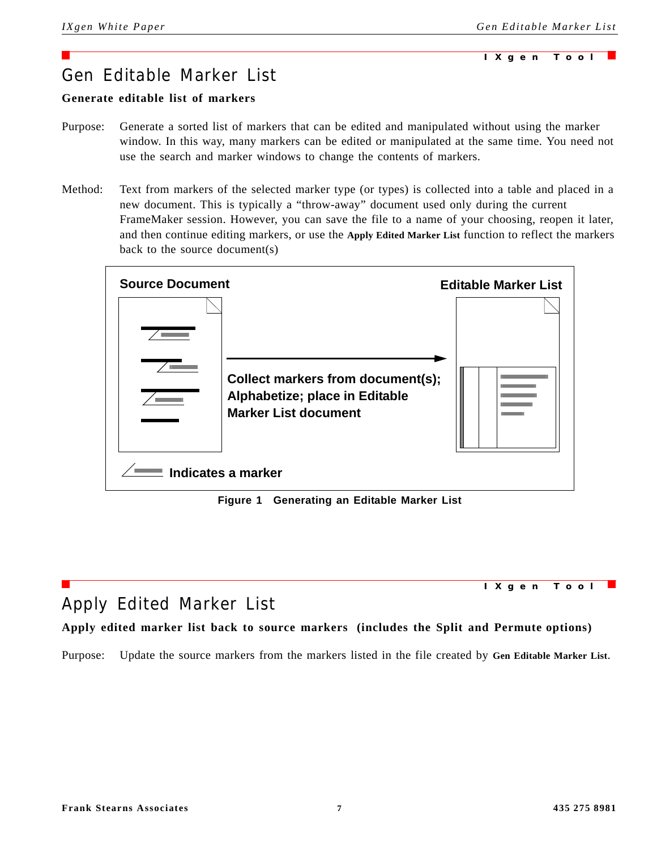#### **IXgen Tool**

## <span id="page-8-4"></span><span id="page-8-0"></span>Gen Editable Marker List

## <span id="page-8-3"></span>**Generate editable list of markers**

- Purpose: Generate a sorted list of markers that can be edited and manipulated without using the marker window. In this way, many markers can be edited or manipulated at the same time. You need not use the search and marker windows to change the contents of markers.
- Method: Text from markers of the selected marker type (or types) is collected into a table and placed in a new document. This is typically a "throw-away" document used only during the current FrameMaker session. However, you can save the file to a name of your choosing, reopen it later, and then continue editing markers, or use the **Apply Edited Marker List** function to reflect the markers back to the source document(s)



**Figure 1 Generating an Editable Marker List**

<span id="page-8-2"></span><span id="page-8-1"></span>

## **Apply edited marker list back to source markers (includes the Split and Permute options)**

Purpose: Update the source markers from the markers listed in the file created by **Gen Editable Marker List**.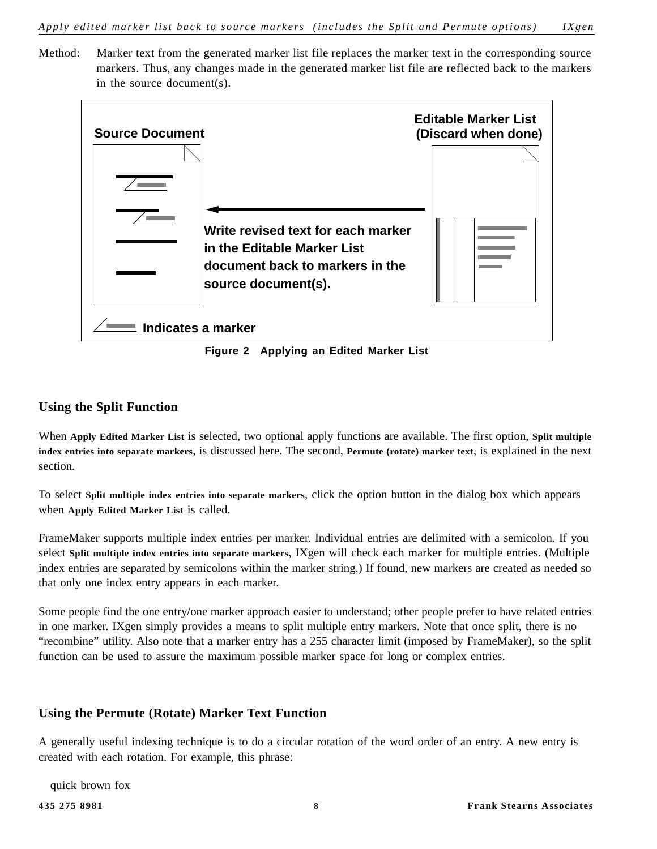Method: Marker text from the generated marker list file replaces the marker text in the corresponding source markers. Thus, any changes made in the generated marker list file are reflected back to the markers in the source document(s).



**Figure 2 Applying an Edited Marker List**

## <span id="page-9-3"></span><span id="page-9-0"></span>**Using the Split Function**

When **Apply Edited Marker List** is selected, two optional apply functions are available. The first option, **Split multiple index entries into separate markers**, is discussed here. The second, **Permute (rotate) marker text**, is explained in the next section.

To select **Split multiple index entries into separate markers**, click the option button in the dialog box which appears when **Apply Edited Marker List** is called.

FrameMaker supports multiple index entries per marker. Individual entries are delimited with a semicolon. If you select **Split multiple index entries into separate markers**, IXgen will check each marker for multiple entries. (Multiple index entries are separated by semicolons within the marker string.) If found, new markers are created as needed so that only one index entry appears in each marker.

Some people find the one entry/one marker approach easier to understand; other people prefer to have related entries in one marker. IXgen simply provides a means to split multiple entry markers. Note that once split, there is no "recombine" utility. Also note that a marker entry has a 255 character limit (imposed by FrameMaker), so the split function can be used to assure the maximum possible marker space for long or complex entries.

## <span id="page-9-2"></span><span id="page-9-1"></span>**Using the Permute (Rotate) Marker Text Function**

A generally useful indexing technique is to do a circular rotation of the word order of an entry. A new entry is created with each rotation. For example, this phrase:

quick brown fox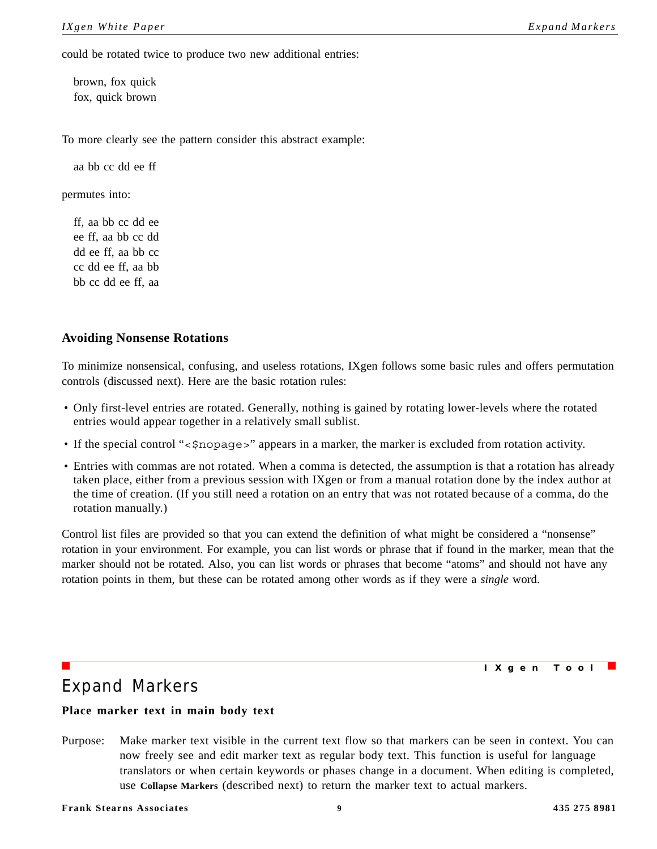could be rotated twice to produce two new additional entries:

brown, fox quick fox, quick brown

To more clearly see the pattern consider this abstract example:

aa bb cc dd ee ff

permutes into:

ff, aa bb cc dd ee ee ff, aa bb cc dd dd ee ff, aa bb cc cc dd ee ff, aa bb bb cc dd ee ff, aa

#### <span id="page-10-2"></span><span id="page-10-0"></span>**Avoiding Nonsense Rotations**

To minimize nonsensical, confusing, and useless rotations, IXgen follows some basic rules and offers permutation controls (discussed next). Here are the basic rotation rules:

- Only first-level entries are rotated. Generally, nothing is gained by rotating lower-levels where the rotated entries would appear together in a relatively small sublist.
- If the special control "<\$nopage>" appears in a marker, the marker is excluded from rotation activity.
- Entries with commas are not rotated. When a comma is detected, the assumption is that a rotation has already taken place, either from a previous session with IXgen or from a manual rotation done by the index author at the time of creation. (If you still need a rotation on an entry that was not rotated because of a comma, do the rotation manually.)

Control list files are provided so that you can extend the definition of what might be considered a "nonsense" rotation in your environment. For example, you can list words or phrase that if found in the marker, mean that the marker should not be rotated. Also, you can list words or phrases that become "atoms" and should not have any rotation points in them, but these can be rotated among other words as if they were a *single* word.

**IXgen Tool**

## <span id="page-10-4"></span><span id="page-10-1"></span>Expand Markers

#### <span id="page-10-3"></span>**Place marker text in main body text**

Purpose: Make marker text visible in the current text flow so that markers can be seen in context. You can now freely see and edit marker text as regular body text. This function is useful for language translators or when certain keywords or phases change in a document. When editing is completed, use **Collapse Markers** (described next) to return the marker text to actual markers.

**Frank Stearns Associates 9 435 275 8981**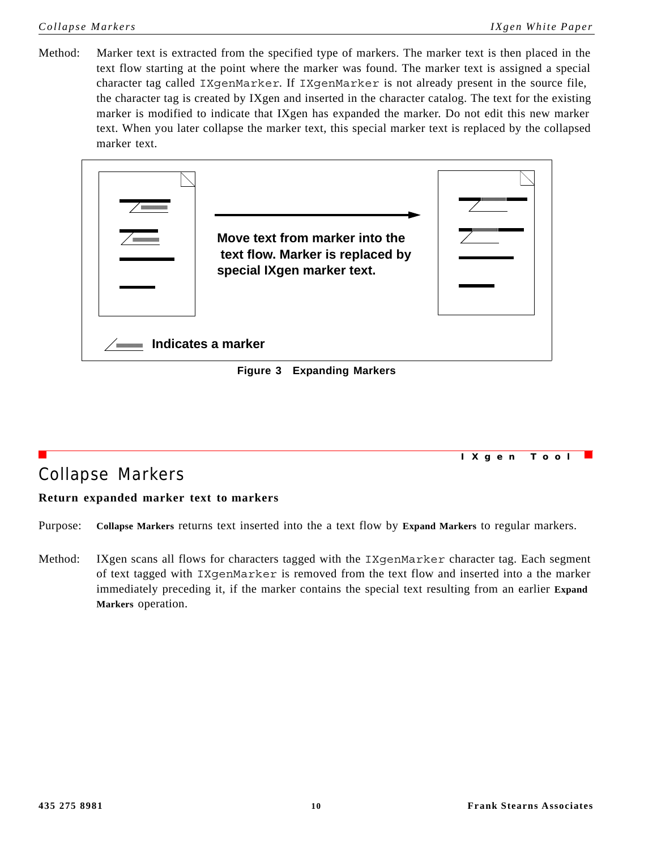Method: Marker text is extracted from the specified type of markers. The marker text is then placed in the text flow starting at the point where the marker was found. The marker text is assigned a special character tag called IXgenMarker. If IXgenMarker is not already present in the source file, the character tag is created by IXgen and inserted in the character catalog. The text for the existing marker is modified to indicate that IXgen has expanded the marker. Do not edit this new marker text. When you later collapse the marker text, this special marker text is replaced by the collapsed marker text.

<span id="page-11-3"></span>

<span id="page-11-1"></span><span id="page-11-0"></span>

|                  | IXgen Tool |  |
|------------------|------------|--|
| Collapse Markers |            |  |

## <span id="page-11-2"></span>**Return expanded marker text to markers**

Purpose: **Collapse Markers** returns text inserted into the a text flow by **Expand Markers** to regular markers.

Method: IXgen scans all flows for characters tagged with the IXgenMarker character tag. Each segment of text tagged with IXgenMarker is removed from the text flow and inserted into a the marker immediately preceding it, if the marker contains the special text resulting from an earlier **Expand Markers** operation.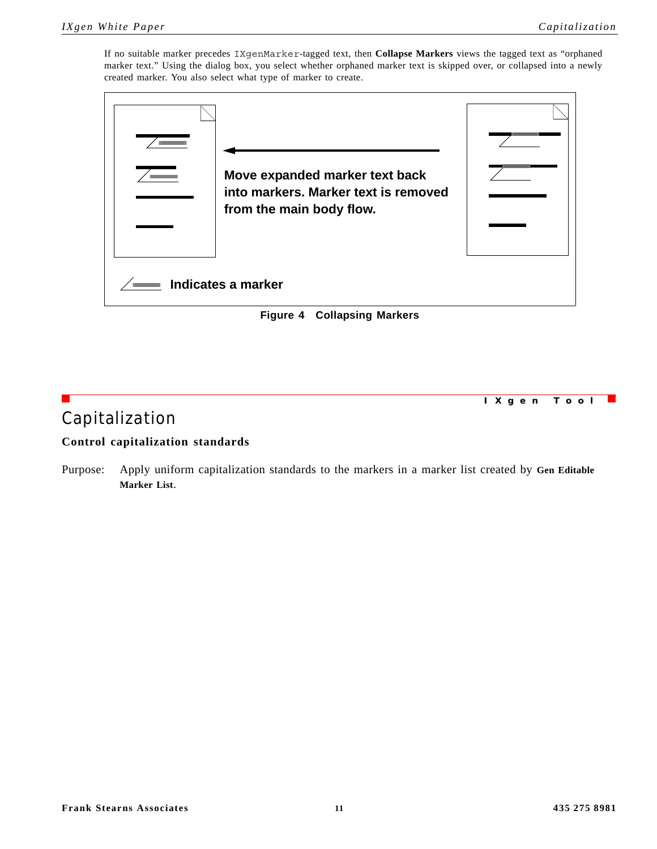**IXgen Tool**

If no suitable marker precedes IXgenMarker-tagged text, then **Collapse Markers** views the tagged text as "orphaned marker text." Using the dialog box, you select whether orphaned marker text is skipped over, or collapsed into a newly created marker. You also select what type of marker to create.

<span id="page-12-1"></span>

**Figure 4 Collapsing Markers**

## <span id="page-12-3"></span><span id="page-12-0"></span>Capitalization

## <span id="page-12-2"></span>**Control capitalization standards**

Purpose: Apply uniform capitalization standards to the markers in a marker list created by **Gen Editable Marker List**.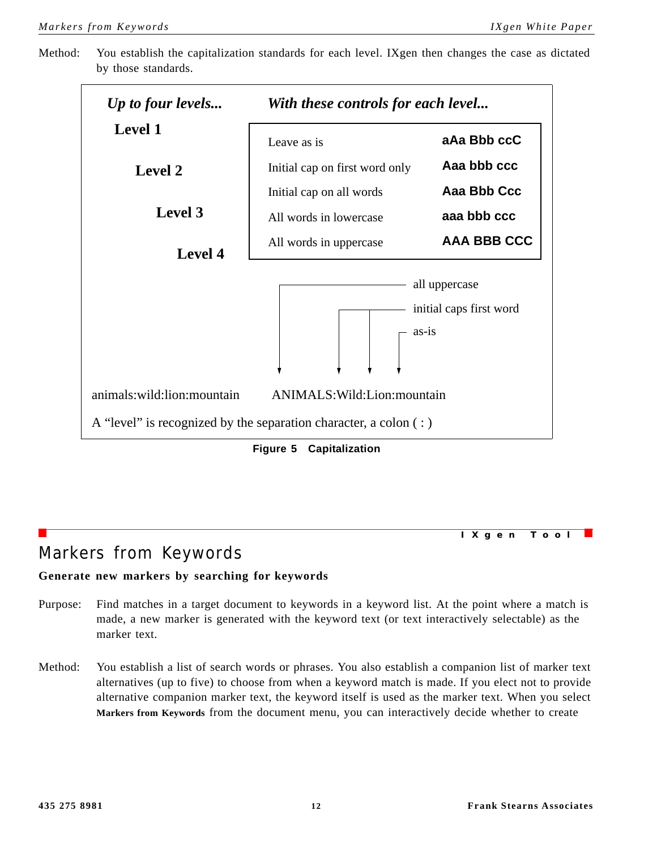Method: You establish the capitalization standards for each level. IXgen then changes the case as dictated by those standards.



**Figure 5 Capitalization**

# <span id="page-13-2"></span><span id="page-13-0"></span>Markers from Keywords

## <span id="page-13-1"></span>**Generate new markers by searching for keywords**

- Purpose: Find matches in a target document to keywords in a keyword list. At the point where a match is made, a new marker is generated with the keyword text (or text interactively selectable) as the marker text.
- Method: You establish a list of search words or phrases. You also establish a companion list of marker text alternatives (up to five) to choose from when a keyword match is made. If you elect not to provide alternative companion marker text, the keyword itself is used as the marker text. When you select **Markers from Keywords** from the document menu, you can interactively decide whether to create

**IXgen Tool**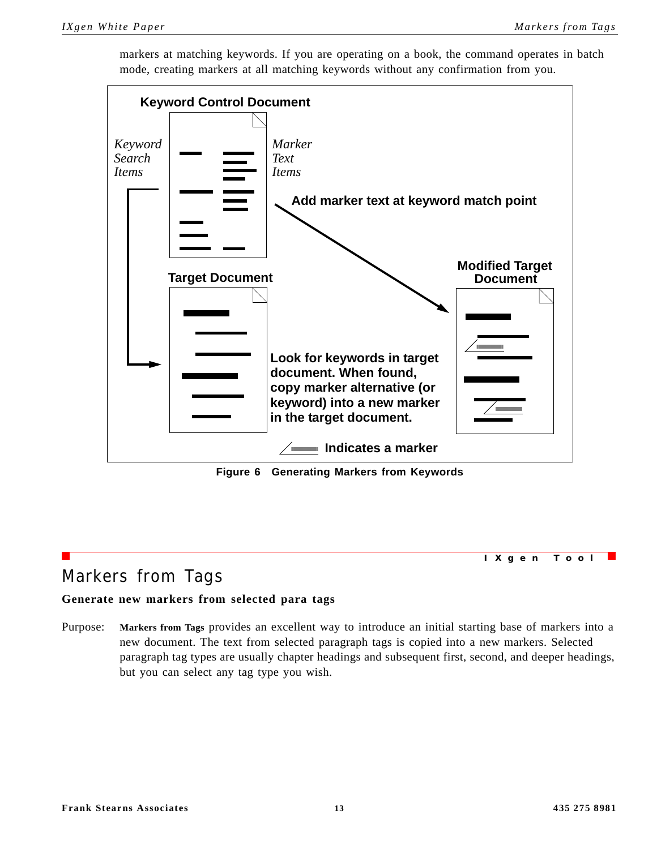**Indicates a marker Look for keywords in target document. When found, copy marker alternative (or keyword) into a new marker in the target document. Keyword Control Document Add marker text at keyword match point Target Document Modified Target** *Search Items Keyword Text Items Marker* **Document**

markers at matching keywords. If you are operating on a book, the command operates in batch mode, creating markers at all matching keywords without any confirmation from you.

**Figure 6 Generating Markers from Keywords**

## <span id="page-14-2"></span><span id="page-14-0"></span>Markers from Tags

**IXgen Tool**

## <span id="page-14-1"></span>**Generate new markers from selected para tags**

Purpose: **Markers from Tags** provides an excellent way to introduce an initial starting base of markers into a new document. The text from selected paragraph tags is copied into a new markers. Selected paragraph tag types are usually chapter headings and subsequent first, second, and deeper headings, but you can select any tag type you wish.

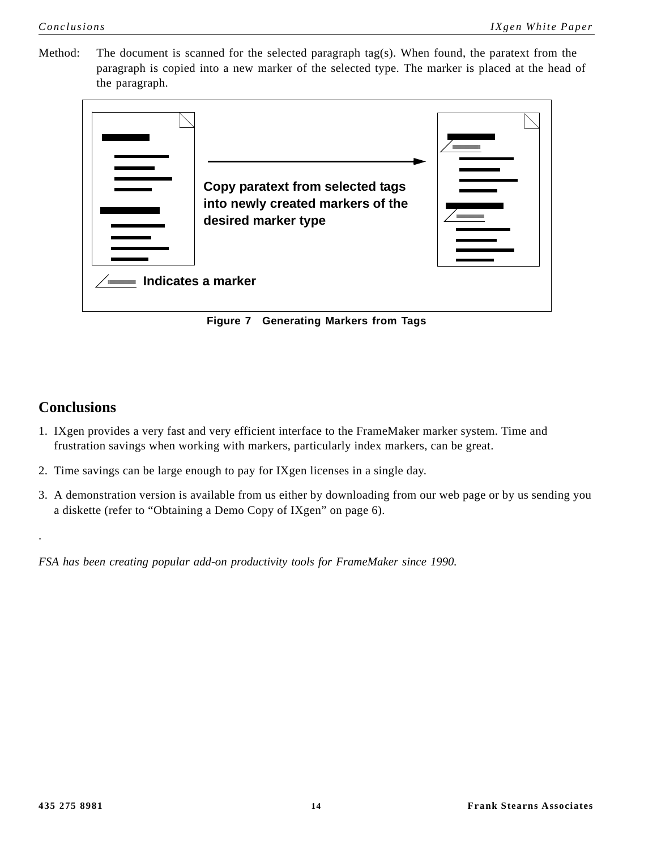Method: The document is scanned for the selected paragraph tag(s). When found, the paratext from the paragraph is copied into a new marker of the selected type. The marker is placed at the head of the paragraph.



**Figure 7 Generating Markers from Tags**

## <span id="page-15-1"></span><span id="page-15-0"></span>**Conclusions**

.

- 1. IXgen provides a very fast and very efficient interface to the FrameMaker marker system. Time and frustration savings when working with markers, particularly index markers, can be great.
- 2. Time savings can be large enough to pay for IXgen licenses in a single day.
- 3. A demonstration version is available from us either by downloading from our web page or by us sending you a diskette (refer to ["Obtaining a Demo Copy of IXgen" on page 6](#page-7-0)).

*FSA has been creating popular add-on productivity tools for FrameMaker since 1990.*